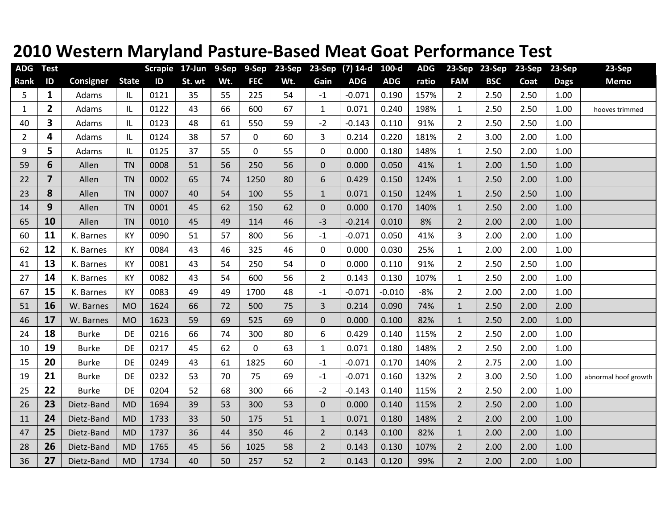## **2010 Western Maryland Pasture‐Based Meat Goat Performance Test**

| <b>ADG</b>     | <b>Test</b>    |                  |              | <b>Scrapie</b> | 17-Jun | 9-Sep | 9-Sep       | 23-Sep | 23-Sep         | $(7)$ 14-d | 100-d      | <b>ADG</b> | 23-Sep         | 23-Sep     | 23-Sep | 23-Sep      | 23-Sep               |
|----------------|----------------|------------------|--------------|----------------|--------|-------|-------------|--------|----------------|------------|------------|------------|----------------|------------|--------|-------------|----------------------|
| Rank           | $\mathsf{ID}$  | <b>Consigner</b> | <b>State</b> | ID             | St. wt | Wt.   | <b>FEC</b>  | Wt.    | Gain           | <b>ADG</b> | <b>ADG</b> | ratio      | <b>FAM</b>     | <b>BSC</b> | Coat   | <b>Dags</b> | <b>Memo</b>          |
| 5              | $\mathbf{1}$   | Adams            | IL           | 0121           | 35     | 55    | 225         | 54     | $-1$           | $-0.071$   | 0.190      | 157%       | $\overline{2}$ | 2.50       | 2.50   | 1.00        |                      |
| $\mathbf{1}$   | $\mathbf{2}$   | Adams            | IL           | 0122           | 43     | 66    | 600         | 67     | $\mathbf{1}$   | 0.071      | 0.240      | 198%       | $\mathbf{1}$   | 2.50       | 2.50   | 1.00        | hooves trimmed       |
| 40             | 3              | Adams            | IL           | 0123           | 48     | 61    | 550         | 59     | $-2$           | $-0.143$   | 0.110      | 91%        | $\overline{2}$ | 2.50       | 2.50   | 1.00        |                      |
| $\overline{2}$ | 4              | Adams            | IL           | 0124           | 38     | 57    | $\mathbf 0$ | 60     | $\overline{3}$ | 0.214      | 0.220      | 181%       | $\overline{2}$ | 3.00       | 2.00   | 1.00        |                      |
| 9              | 5              | Adams            | IL           | 0125           | 37     | 55    | $\mathbf 0$ | 55     | $\mathbf 0$    | 0.000      | 0.180      | 148%       | $\mathbf{1}$   | 2.50       | 2.00   | 1.00        |                      |
| 59             | 6              | Allen            | <b>TN</b>    | 0008           | 51     | 56    | 250         | 56     | $\mathbf{0}$   | 0.000      | 0.050      | 41%        | $\mathbf{1}$   | 2.00       | 1.50   | 1.00        |                      |
| 22             | $\overline{7}$ | Allen            | <b>TN</b>    | 0002           | 65     | 74    | 1250        | 80     | $6\,$          | 0.429      | 0.150      | 124%       | $\mathbf{1}$   | 2.50       | 2.00   | 1.00        |                      |
| 23             | 8              | Allen            | <b>TN</b>    | 0007           | 40     | 54    | 100         | 55     | $\mathbf 1$    | 0.071      | 0.150      | 124%       | $\mathbf{1}$   | 2.50       | 2.50   | 1.00        |                      |
| 14             | 9              | Allen            | <b>TN</b>    | 0001           | 45     | 62    | 150         | 62     | $\mathbf{0}$   | 0.000      | 0.170      | 140%       | $\mathbf{1}$   | 2.50       | 2.00   | 1.00        |                      |
| 65             | 10             | Allen            | <b>TN</b>    | 0010           | 45     | 49    | 114         | 46     | $-3$           | $-0.214$   | 0.010      | 8%         | $\overline{2}$ | 2.00       | 2.00   | 1.00        |                      |
| 60             | 11             | K. Barnes        | KY           | 0090           | 51     | 57    | 800         | 56     | $-1$           | $-0.071$   | 0.050      | 41%        | 3              | 2.00       | 2.00   | 1.00        |                      |
| 62             | 12             | K. Barnes        | <b>KY</b>    | 0084           | 43     | 46    | 325         | 46     | $\mathbf 0$    | 0.000      | 0.030      | 25%        | $\mathbf{1}$   | 2.00       | 2.00   | 1.00        |                      |
| 41             | 13             | K. Barnes        | KY           | 0081           | 43     | 54    | 250         | 54     | $\pmb{0}$      | 0.000      | 0.110      | 91%        | $\overline{2}$ | 2.50       | 2.50   | 1.00        |                      |
| 27             | 14             | K. Barnes        | <b>KY</b>    | 0082           | 43     | 54    | 600         | 56     | $\overline{2}$ | 0.143      | 0.130      | 107%       | $\mathbf{1}$   | 2.50       | 2.00   | 1.00        |                      |
| 67             | 15             | K. Barnes        | KY           | 0083           | 49     | 49    | 1700        | 48     | $-1$           | $-0.071$   | $-0.010$   | $-8%$      | $\overline{2}$ | 2.00       | 2.00   | 1.00        |                      |
| 51             | 16             | W. Barnes        | <b>MO</b>    | 1624           | 66     | 72    | 500         | 75     | $\overline{3}$ | 0.214      | 0.090      | 74%        | $\mathbf{1}$   | 2.50       | 2.00   | 2.00        |                      |
| 46             | 17             | W. Barnes        | <b>MO</b>    | 1623           | 59     | 69    | 525         | 69     | $\pmb{0}$      | 0.000      | 0.100      | 82%        | $\mathbf{1}$   | 2.50       | 2.00   | 1.00        |                      |
| 24             | 18             | <b>Burke</b>     | DE           | 0216           | 66     | 74    | 300         | 80     | 6              | 0.429      | 0.140      | 115%       | $\overline{2}$ | 2.50       | 2.00   | 1.00        |                      |
| 10             | 19             | <b>Burke</b>     | <b>DE</b>    | 0217           | 45     | 62    | $\mathbf 0$ | 63     | $\mathbf{1}$   | 0.071      | 0.180      | 148%       | $\overline{2}$ | 2.50       | 2.00   | 1.00        |                      |
| 15             | 20             | <b>Burke</b>     | DE           | 0249           | 43     | 61    | 1825        | 60     | $-1$           | $-0.071$   | 0.170      | 140%       | $\overline{2}$ | 2.75       | 2.00   | 1.00        |                      |
| 19             | 21             | <b>Burke</b>     | DE           | 0232           | 53     | 70    | 75          | 69     | $-1$           | $-0.071$   | 0.160      | 132%       | $2^{\circ}$    | 3.00       | 2.50   | 1.00        | abnormal hoof growth |
| 25             | 22             | <b>Burke</b>     | <b>DE</b>    | 0204           | 52     | 68    | 300         | 66     | $-2$           | $-0.143$   | 0.140      | 115%       | $\overline{2}$ | 2.50       | 2.00   | 1.00        |                      |
| 26             | 23             | Dietz-Band       | <b>MD</b>    | 1694           | 39     | 53    | 300         | 53     | $\pmb{0}$      | 0.000      | 0.140      | 115%       | $\overline{2}$ | 2.50       | 2.00   | 1.00        |                      |
| 11             | 24             | Dietz-Band       | <b>MD</b>    | 1733           | 33     | 50    | 175         | 51     | $\mathbf{1}$   | 0.071      | 0.180      | 148%       | $\overline{2}$ | 2.00       | 2.00   | 1.00        |                      |
| 47             | 25             | Dietz-Band       | <b>MD</b>    | 1737           | 36     | 44    | 350         | 46     | $\overline{2}$ | 0.143      | 0.100      | 82%        | $\mathbf{1}$   | 2.00       | 2.00   | 1.00        |                      |
| 28             | 26             | Dietz-Band       | <b>MD</b>    | 1765           | 45     | 56    | 1025        | 58     | $\overline{2}$ | 0.143      | 0.130      | 107%       | $\overline{2}$ | 2.00       | 2.00   | 1.00        |                      |
| 36             | 27             | Dietz-Band       | <b>MD</b>    | 1734           | 40     | 50    | 257         | 52     | $\overline{2}$ | 0.143      | 0.120      | 99%        | $\overline{2}$ | 2.00       | 2.00   | 1.00        |                      |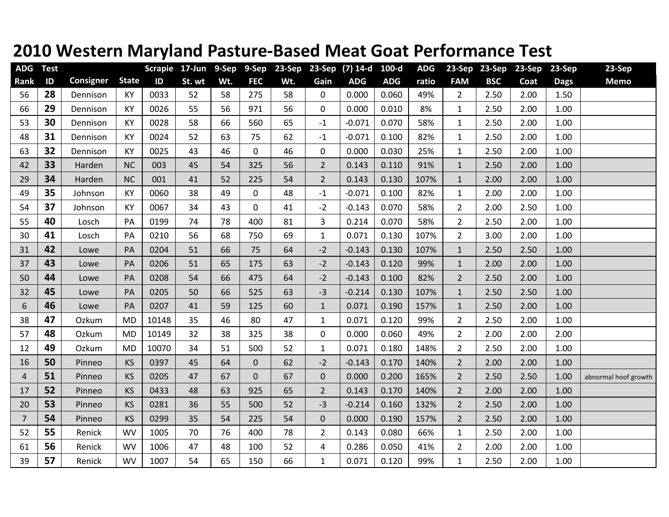## **2010 Western Maryland Pasture‐Based Meat Goat Performance Test**

| <b>ADG</b>     | <b>Test</b> |           |              | <b>Scrapie</b> | $17$ -Jun | 9-Sep | 9-Sep        | 23-Sep | 23-Sep         | $(7)$ 14-d | $100-d$    | <b>ADG</b> | 23-Sep         | 23-Sep     | 23-Sep | 23-Sep      | <b>23-Sep</b>        |
|----------------|-------------|-----------|--------------|----------------|-----------|-------|--------------|--------|----------------|------------|------------|------------|----------------|------------|--------|-------------|----------------------|
| Rank           | ID          | Consigner | <b>State</b> | ID             | St. wt    | Wt.   | <b>FEC</b>   | Wt.    | Gain           | <b>ADG</b> | <b>ADG</b> | ratio      | <b>FAM</b>     | <b>BSC</b> | Coat   | <b>Dags</b> | <b>Memo</b>          |
| 56             | 28          | Dennison  | KY           | 0033           | 52        | 58    | 275          | 58     | 0              | 0.000      | 0.060      | 49%        | $\overline{2}$ | 2.50       | 2.00   | 1.50        |                      |
| 66             | 29          | Dennison  | KY           | 0026           | 55        | 56    | 971          | 56     | $\mathbf 0$    | 0.000      | 0.010      | 8%         | $\mathbf{1}$   | 2.50       | 2.00   | 1.00        |                      |
| 53             | 30          | Dennison  | KY           | 0028           | 58        | 66    | 560          | 65     | $-1$           | $-0.071$   | 0.070      | 58%        | $\mathbf{1}$   | 2.50       | 2.00   | 1.00        |                      |
| 48             | 31          | Dennison  | KY           | 0024           | 52        | 63    | 75           | 62     | $-1$           | $-0.071$   | 0.100      | 82%        | $\mathbf{1}$   | 2.50       | 2.00   | 1.00        |                      |
| 63             | 32          | Dennison  | KY           | 0025           | 43        | 46    | $\mathbf 0$  | 46     | 0              | 0.000      | 0.030      | 25%        | $\mathbf{1}$   | 2.50       | 2.00   | 1.00        |                      |
| 42             | 33          | Harden    | <b>NC</b>    | 003            | 45        | 54    | 325          | 56     | $\overline{2}$ | 0.143      | 0.110      | 91%        | $\mathbf{1}$   | 2.50       | 2.00   | 1.00        |                      |
| 29             | 34          | Harden    | <b>NC</b>    | 001            | 41        | 52    | 225          | 54     | $\overline{2}$ | 0.143      | 0.130      | 107%       | $\mathbf{1}$   | 2.00       | 2.00   | 1.00        |                      |
| 49             | 35          | Johnson   | KY           | 0060           | 38        | 49    | $\mathbf 0$  | 48     | $-1$           | $-0.071$   | 0.100      | 82%        | $\mathbf{1}$   | 2.00       | 2.00   | 1.00        |                      |
| 54             | 37          | Johnson   | KY           | 0067           | 34        | 43    | $\mathbf 0$  | 41     | $-2$           | $-0.143$   | 0.070      | 58%        | $\overline{2}$ | 2.00       | 2.50   | 1.00        |                      |
| 55             | 40          | Losch     | PA           | 0199           | 74        | 78    | 400          | 81     | 3              | 0.214      | 0.070      | 58%        | $\overline{2}$ | 2.50       | 2.00   | 1.00        |                      |
| 30             | 41          | Losch     | PA           | 0210           | 56        | 68    | 750          | 69     | $\mathbf{1}$   | 0.071      | 0.130      | 107%       | $\overline{2}$ | 3.00       | 2.00   | 1.00        |                      |
| 31             | 42          | Lowe      | PA           | 0204           | 51        | 66    | 75           | 64     | $-2$           | $-0.143$   | 0.130      | 107%       | $\mathbf{1}$   | 2.50       | 2.50   | 1.00        |                      |
| 37             | 43          | Lowe      | PA           | 0206           | 51        | 65    | 175          | 63     | $-2$           | $-0.143$   | 0.120      | 99%        | $\mathbf{1}$   | 2.00       | 2.00   | 1.00        |                      |
| 50             | 44          | Lowe      | PA           | 0208           | 54        | 66    | 475          | 64     | $-2$           | $-0.143$   | 0.100      | 82%        | $\overline{2}$ | 2.50       | 2.00   | 1.00        |                      |
| 32             | 45          | Lowe      | PA           | 0205           | 50        | 66    | 525          | 63     | $-3$           | $-0.214$   | 0.130      | 107%       | $\mathbf{1}$   | 2.50       | 2.50   | 1.00        |                      |
| 6              | 46          | Lowe      | PA           | 0207           | 41        | 59    | 125          | 60     | $\mathbf{1}$   | 0.071      | 0.190      | 157%       | $\mathbf{1}$   | 2.50       | 2.00   | 1.00        |                      |
| 38             | 47          | Ozkum     | <b>MD</b>    | 10148          | 35        | 46    | 80           | 47     | $\mathbf{1}$   | 0.071      | 0.120      | 99%        | $2^{\circ}$    | 2.50       | 2.00   | 1.00        |                      |
| 57             | 48          | Ozkum     | <b>MD</b>    | 10149          | 32        | 38    | 325          | 38     | $\pmb{0}$      | 0.000      | 0.060      | 49%        | $\overline{2}$ | 2.00       | 2.00   | 2.00        |                      |
| 12             | 49          | Ozkum     | <b>MD</b>    | 10070          | 34        | 51    | 500          | 52     | $\mathbf{1}$   | 0.071      | 0.180      | 148%       | $2^{\circ}$    | 2.50       | 2.00   | 1.00        |                      |
| 16             | 50          | Pinneo    | <b>KS</b>    | 0397           | 45        | 64    | $\mathbf 0$  | 62     | $-2$           | $-0.143$   | 0.170      | 140%       | $\overline{2}$ | 2.00       | 2.00   | 1.00        |                      |
| $\overline{4}$ | 51          | Pinneo    | <b>KS</b>    | 0205           | 47        | 67    | $\mathbf{0}$ | 67     | $\mathbf{0}$   | 0.000      | 0.200      | 165%       | $\overline{2}$ | 2.50       | 2.50   | 1.00        | abnormal hoof growth |
| 17             | 52          | Pinneo    | <b>KS</b>    | 0433           | 48        | 63    | 925          | 65     | $\overline{2}$ | 0.143      | 0.170      | 140%       | 2 <sup>1</sup> | 2.00       | 2.00   | 1.00        |                      |
| 20             | 53          | Pinneo    | <b>KS</b>    | 0281           | 36        | 55    | 500          | 52     | $-3$           | $-0.214$   | 0.160      | 132%       | $\overline{2}$ | 2.50       | 2.00   | 1.00        |                      |
| $\overline{7}$ | 54          | Pinneo    | <b>KS</b>    | 0299           | 35        | 54    | 225          | 54     | $\mathbf 0$    | 0.000      | 0.190      | 157%       | $\overline{2}$ | 2.50       | 2.00   | 1.00        |                      |
| 52             | 55          | Renick    | <b>WV</b>    | 1005           | 70        | 76    | 400          | 78     | $\overline{2}$ | 0.143      | 0.080      | 66%        | $\mathbf{1}$   | 2.50       | 2.00   | 1.00        |                      |
| 61             | 56          | Renick    | <b>WV</b>    | 1006           | 47        | 48    | 100          | 52     | $\overline{4}$ | 0.286      | 0.050      | 41%        | $\overline{2}$ | 2.00       | 2.00   | 1.00        |                      |
| 39             | 57          | Renick    | <b>WV</b>    | 1007           | 54        | 65    | 150          | 66     | $\mathbf{1}$   | 0.071      | 0.120      | 99%        | $\mathbf{1}$   | 2.50       | 2.00   | 1.00        |                      |